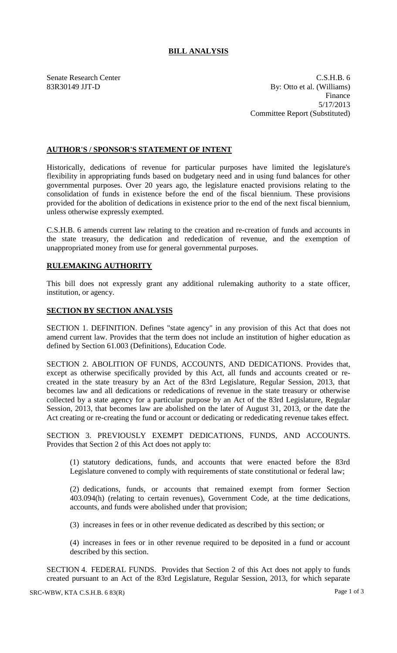## **BILL ANALYSIS**

Senate Research Center Cases and C.S.H.B. 6 83R30149 JJT-D By: Otto et al. (Williams) Finance 5/17/2013 Committee Report (Substituted)

## **AUTHOR'S / SPONSOR'S STATEMENT OF INTENT**

Historically, dedications of revenue for particular purposes have limited the legislature's flexibility in appropriating funds based on budgetary need and in using fund balances for other governmental purposes. Over 20 years ago, the legislature enacted provisions relating to the consolidation of funds in existence before the end of the fiscal biennium. These provisions provided for the abolition of dedications in existence prior to the end of the next fiscal biennium, unless otherwise expressly exempted.

C.S.H.B. 6 amends current law relating to the creation and re-creation of funds and accounts in the state treasury, the dedication and rededication of revenue, and the exemption of unappropriated money from use for general governmental purposes.

## **RULEMAKING AUTHORITY**

This bill does not expressly grant any additional rulemaking authority to a state officer, institution, or agency.

## **SECTION BY SECTION ANALYSIS**

SECTION 1. DEFINITION. Defines "state agency" in any provision of this Act that does not amend current law. Provides that the term does not include an institution of higher education as defined by Section 61.003 (Definitions), Education Code.

SECTION 2. ABOLITION OF FUNDS, ACCOUNTS, AND DEDICATIONS. Provides that, except as otherwise specifically provided by this Act, all funds and accounts created or recreated in the state treasury by an Act of the 83rd Legislature, Regular Session, 2013, that becomes law and all dedications or rededications of revenue in the state treasury or otherwise collected by a state agency for a particular purpose by an Act of the 83rd Legislature, Regular Session, 2013, that becomes law are abolished on the later of August 31, 2013, or the date the Act creating or re-creating the fund or account or dedicating or rededicating revenue takes effect.

SECTION 3. PREVIOUSLY EXEMPT DEDICATIONS, FUNDS, AND ACCOUNTS. Provides that Section 2 of this Act does not apply to:

(1) statutory dedications, funds, and accounts that were enacted before the 83rd Legislature convened to comply with requirements of state constitutional or federal law;

(2) dedications, funds, or accounts that remained exempt from former Section 403.094(h) (relating to certain revenues), Government Code, at the time dedications, accounts, and funds were abolished under that provision;

(3) increases in fees or in other revenue dedicated as described by this section; or

(4) increases in fees or in other revenue required to be deposited in a fund or account described by this section.

SECTION 4. FEDERAL FUNDS. Provides that Section 2 of this Act does not apply to funds created pursuant to an Act of the 83rd Legislature, Regular Session, 2013, for which separate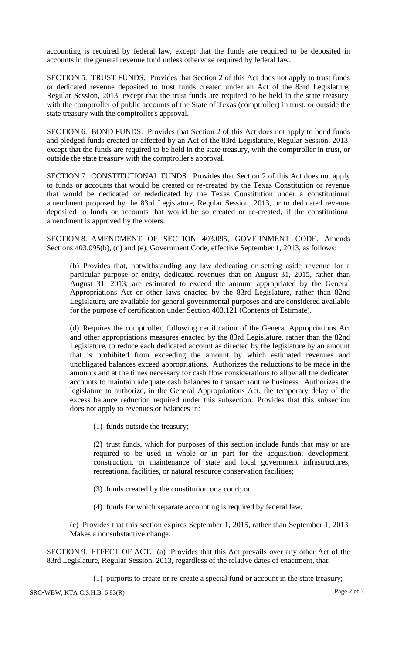accounting is required by federal law, except that the funds are required to be deposited in accounts in the general revenue fund unless otherwise required by federal law.

SECTION 5. TRUST FUNDS. Provides that Section 2 of this Act does not apply to trust funds or dedicated revenue deposited to trust funds created under an Act of the 83rd Legislature, Regular Session, 2013, except that the trust funds are required to be held in the state treasury, with the comptroller of public accounts of the State of Texas (comptroller) in trust, or outside the state treasury with the comptroller's approval.

SECTION 6. BOND FUNDS. Provides that Section 2 of this Act does not apply to bond funds and pledged funds created or affected by an Act of the 83rd Legislature, Regular Session, 2013, except that the funds are required to be held in the state treasury, with the comptroller in trust, or outside the state treasury with the comptroller's approval.

SECTION 7. CONSTITUTIONAL FUNDS. Provides that Section 2 of this Act does not apply to funds or accounts that would be created or re-created by the Texas Constitution or revenue that would be dedicated or rededicated by the Texas Constitution under a constitutional amendment proposed by the 83rd Legislature, Regular Session, 2013, or to dedicated revenue deposited to funds or accounts that would be so created or re-created, if the constitutional amendment is approved by the voters.

SECTION 8. AMENDMENT OF SECTION 403.095, GOVERNMENT CODE. Amends Sections 403.095(b), (d) and (e), Government Code, effective September 1, 2013, as follows:

(b) Provides that, notwithstanding any law dedicating or setting aside revenue for a particular purpose or entity, dedicated revenues that on August 31, 2015, rather than August 31, 2013, are estimated to exceed the amount appropriated by the General Appropriations Act or other laws enacted by the 83rd Legislature, rather than 82nd Legislature, are available for general governmental purposes and are considered available for the purpose of certification under Section 403.121 (Contents of Estimate).

(d) Requires the comptroller, following certification of the General Appropriations Act and other appropriations measures enacted by the 83rd Legislature, rather than the 82nd Legislature, to reduce each dedicated account as directed by the legislature by an amount that is prohibited from exceeding the amount by which estimated revenues and unobligated balances exceed appropriations. Authorizes the reductions to be made in the amounts and at the times necessary for cash flow considerations to allow all the dedicated accounts to maintain adequate cash balances to transact routine business. Authorizes the legislature to authorize, in the General Appropriations Act, the temporary delay of the excess balance reduction required under this subsection. Provides that this subsection does not apply to revenues or balances in:

(1) funds outside the treasury;

(2) trust funds, which for purposes of this section include funds that may or are required to be used in whole or in part for the acquisition, development, construction, or maintenance of state and local government infrastructures, recreational facilities, or natural resource conservation facilities;

- (3) funds created by the constitution or a court; or
- (4) funds for which separate accounting is required by federal law.

(e) Provides that this section expires September 1, 2015, rather than September 1, 2013. Makes a nonsubstantive change.

SECTION 9. EFFECT OF ACT. (a) Provides that this Act prevails over any other Act of the 83rd Legislature, Regular Session, 2013, regardless of the relative dates of enactment, that:

(1) purports to create or re-create a special fund or account in the state treasury;

SRC-WBW, KTA C.S.H.B. 6 83(R) Page 2 of 3